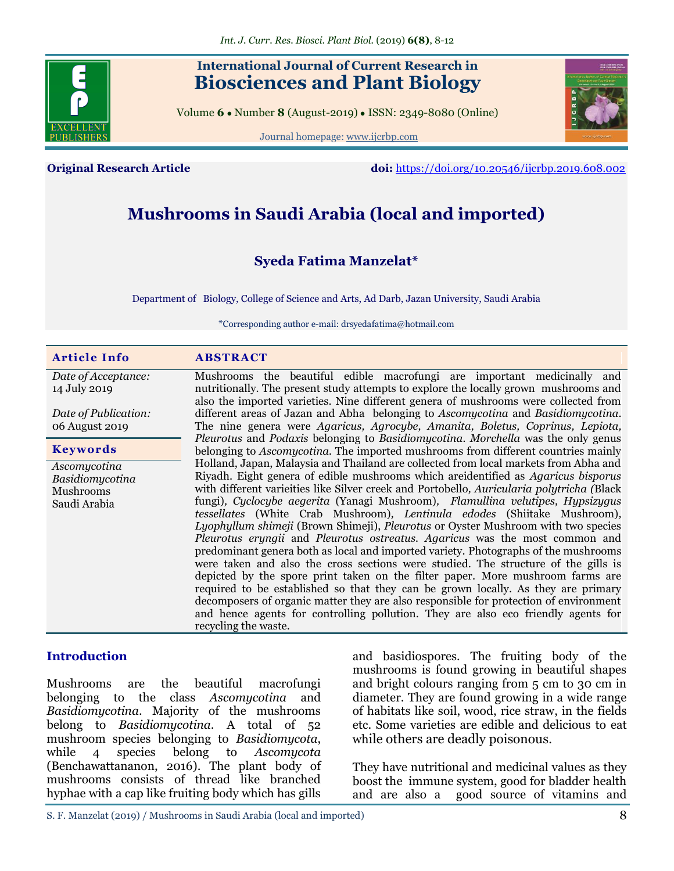

# **International Journal of Current Research in Biosciences and Plant Biology**

Volume **6** ● Number **8** (August-2019) ● ISSN: 2349-8080 (Online)

Journal homepage: [www.ijcrbp.com](http://www.ijcrbp.com/)



**Original Research Article doi:** <https://doi.org/10.20546/ijcrbp.2019.608.002>

# **Mushrooms in Saudi Arabia (local and imported)**

## **Syeda Fatima Manzelat\***

Department of Biology, College of Science and Arts, Ad Darb, Jazan University, Saudi Arabia

\*Corresponding author e-mail: drsyeda.fatima@hotmail.com

| <b>Article Info</b>                 | <b>ABSTRACT</b>                                                                                                                                                               |
|-------------------------------------|-------------------------------------------------------------------------------------------------------------------------------------------------------------------------------|
| Date of Acceptance:<br>14 July 2019 | Mushrooms the beautiful edible macrofungi are important medicinally and<br>nutritionally. The present study attempts to explore the locally grown mushrooms and               |
|                                     | also the imported varieties. Nine different genera of mushrooms were collected from                                                                                           |
| Date of Publication:                | different areas of Jazan and Abha belonging to Ascomycotina and Basidiomycotina.                                                                                              |
| 06 August 2019                      | The nine genera were <i>Agaricus</i> , <i>Agrocybe</i> , <i>Amanita</i> , <i>Boletus</i> , <i>Coprinus</i> , <i>Lepiota</i> ,                                                 |
| <b>Keywords</b>                     | Pleurotus and Podaxis belonging to Basidiomycotina. Morchella was the only genus<br>belonging to <i>Ascomycotina</i> . The imported mushrooms from different countries mainly |
| Ascomycotina                        | Holland, Japan, Malaysia and Thailand are collected from local markets from Abha and                                                                                          |
| Basidiomycotina                     | Riyadh. Eight genera of edible mushrooms which are dentified as <i>Agaricus bisporus</i>                                                                                      |
| Mushrooms                           | with different varieities like Silver creek and Portobello, Auricularia polytricha (Black                                                                                     |
| Saudi Arabia                        | fungi), Cyclocybe aegerita (Yanagi Mushroom), Flamullina velutipes, Hypsizygus                                                                                                |
|                                     | tessellates (White Crab Mushroom), Lentinula edodes (Shiitake Mushroom),                                                                                                      |
|                                     | Lyophyllum shimeji (Brown Shimeji), Pleurotus or Oyster Mushroom with two species                                                                                             |
|                                     | Pleurotus eryngii and Pleurotus ostreatus. Agaricus was the most common and                                                                                                   |
|                                     | predominant genera both as local and imported variety. Photographs of the mushrooms                                                                                           |
|                                     | were taken and also the cross sections were studied. The structure of the gills is                                                                                            |
|                                     | depicted by the spore print taken on the filter paper. More mushroom farms are                                                                                                |
|                                     | required to be established so that they can be grown locally. As they are primary                                                                                             |
|                                     | decomposers of organic matter they are also responsible for protection of environment                                                                                         |
|                                     | and hence agents for controlling pollution. They are also eco friendly agents for                                                                                             |
|                                     | recycling the waste.                                                                                                                                                          |

#### **Introduction**

Mushrooms are the beautiful macrofungi belonging to the class *Ascomycotina* and *Basidiomycotina*. Majority of the mushrooms belong to *Basidiomycotina*. A total of 52 mushroom species belonging to *Basidiomycota*, while 4 species belong to *Ascomycota*  (Benchawattananon, 2016). The plant body of mushrooms consists of thread like branched hyphae with a cap like fruiting body which has gills

and basidiospores. The fruiting body of the mushrooms is found growing in beautiful shapes and bright colours ranging from 5 cm to 30 cm in diameter. They are found growing in a wide range of habitats like soil, wood, rice straw, in the fields etc. Some varieties are edible and delicious to eat while others are deadly poisonous.

They have nutritional and medicinal values as they boost the immune system, good for bladder health and are also a good source of vitamins and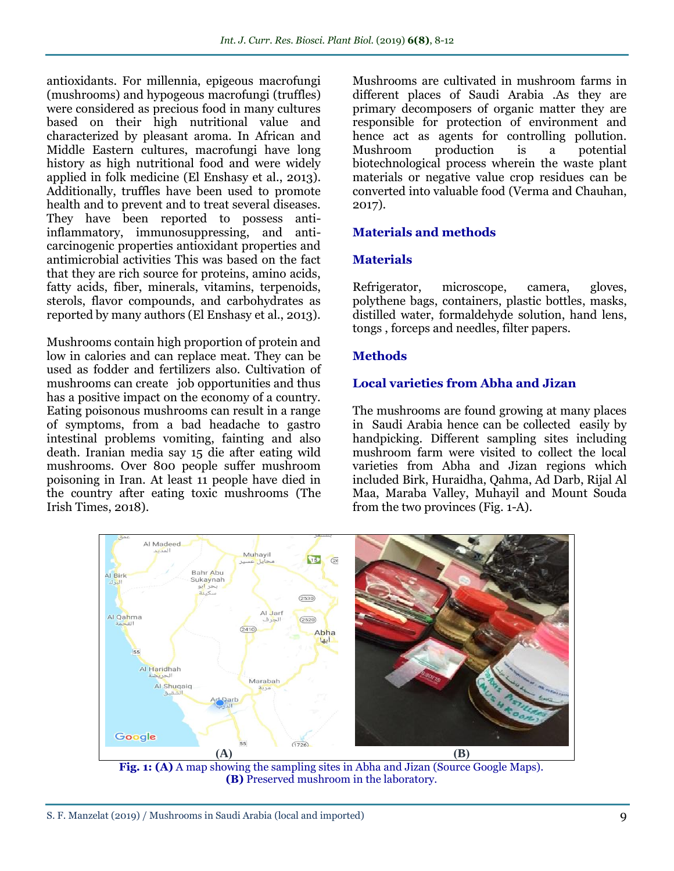antioxidants. For millennia, epigeous macrofungi (mushrooms) and hypogeous macrofungi (truffles) were considered as precious food in many cultures based on their high nutritional value and characterized by pleasant aroma. In African and Middle Eastern cultures, macrofungi have long history as high nutritional food and were widely applied in folk medicine (El Enshasy et al., 2013). Additionally, truffles have been used to promote health and to prevent and to treat several diseases. They have been reported to possess antiinflammatory, immunosuppressing, and anticarcinogenic properties antioxidant properties and antimicrobial activities This was based on the fact that they are rich source for proteins, amino acids, fatty acids, fiber, minerals, vitamins, terpenoids, sterols, flavor compounds, and carbohydrates as reported by many authors (El Enshasy et al., 2013).

Mushrooms contain high proportion of protein and low in calories and can replace meat. They can be used as fodder and fertilizers also. Cultivation of mushrooms can create job opportunities and thus has a positive impact on the economy of a country. Eating poisonous mushrooms can result in a range of symptoms, from a bad headache to gastro intestinal problems vomiting, fainting and also death. Iranian media say 15 die after eating wild mushrooms. Over 800 people suffer mushroom poisoning in Iran. At least 11 people have died in the country after eating toxic mushrooms (The Irish Times, 2018).

Mushrooms are cultivated in mushroom farms in different places of Saudi Arabia .As they are primary decomposers of organic matter they are responsible for protection of environment and hence act as agents for controlling pollution. Mushroom production is a potential biotechnological process wherein the waste plant materials or negative value crop residues can be converted into valuable food (Verma and Chauhan, 2017).

### **Materials and methods**

#### **Materials**

Refrigerator, microscope, camera, gloves, polythene bags, containers, plastic bottles, masks, distilled water, formaldehyde solution, hand lens, tongs , forceps and needles, filter papers.

### **Methods**

#### **Local varieties from Abha and Jizan**

The mushrooms are found growing at many places in Saudi Arabia hence can be collected easily by handpicking. Different sampling sites including mushroom farm were visited to collect the local varieties from Abha and Jizan regions which included Birk, Huraidha, Qahma, Ad Darb, Rijal Al Maa, Maraba Valley, Muhayil and Mount Souda from the two provinces (Fig. 1-A).



**Fig. 1: (A)** A map showing the sampling sites in Abha and Jizan (Source Google Maps). **(B)** Preserved mushroom in the laboratory.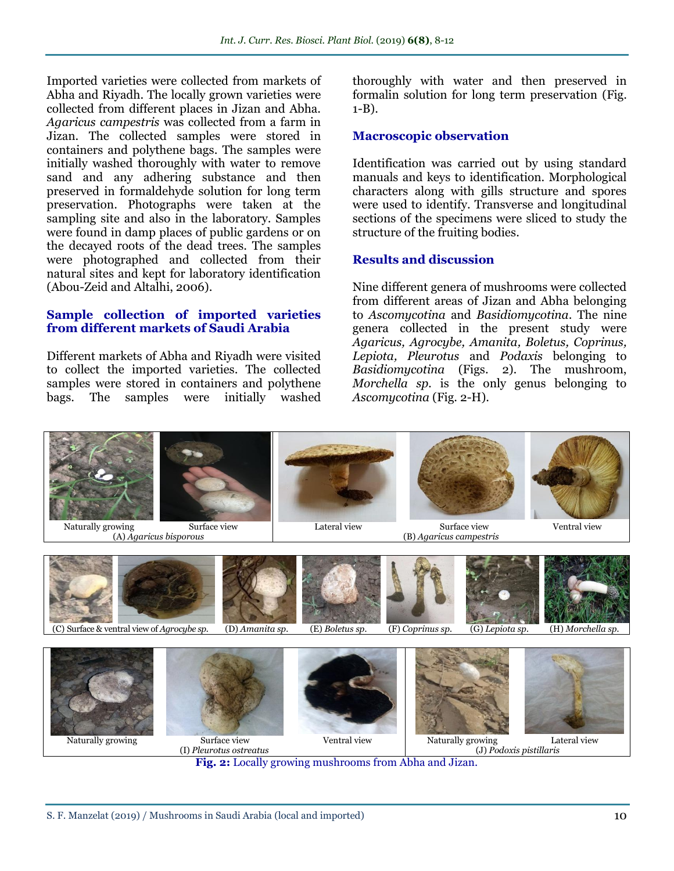Imported varieties were collected from markets of Abha and Riyadh. The locally grown varieties were collected from different places in Jizan and Abha. *Agaricus campestris* was collected from a farm in Jizan. The collected samples were stored in containers and polythene bags. The samples were initially washed thoroughly with water to remove sand and any adhering substance and then preserved in formaldehyde solution for long term preservation. Photographs were taken at the sampling site and also in the laboratory. Samples were found in damp places of public gardens or on the decayed roots of the dead trees. The samples were photographed and collected from their natural sites and kept for laboratory identification (Abou-Zeid and Altalhi, 2006).

#### **Sample collection of imported varieties from different markets of Saudi Arabia**

Different markets of Abha and Riyadh were visited to collect the imported varieties. The collected samples were stored in containers and polythene bags. The samples were initially washed

thoroughly with water and then preserved in formalin solution for long term preservation (Fig. 1-B).

#### **Macroscopic observation**

Identification was carried out by using standard manuals and keys to identification. Morphological characters along with gills structure and spores were used to identify. Transverse and longitudinal sections of the specimens were sliced to study the structure of the fruiting bodies.

#### **Results and discussion**

Nine different genera of mushrooms were collected from different areas of Jizan and Abha belonging to *Ascomycotina* and *Basidiomycotina*. The nine genera collected in the present study were *Agaricus, Agrocybe, Amanita, Boletus, Coprinus, Lepiota, Pleurotus* and *Podaxis* belonging to *Basidiomycotina* (Figs. 2)*.* The mushroom, *Morchella sp.* is the only genus belonging to *Ascomycotina* (Fig. 2-H).



**Fig. 2:** Locally growing mushrooms from Abha and Jizan.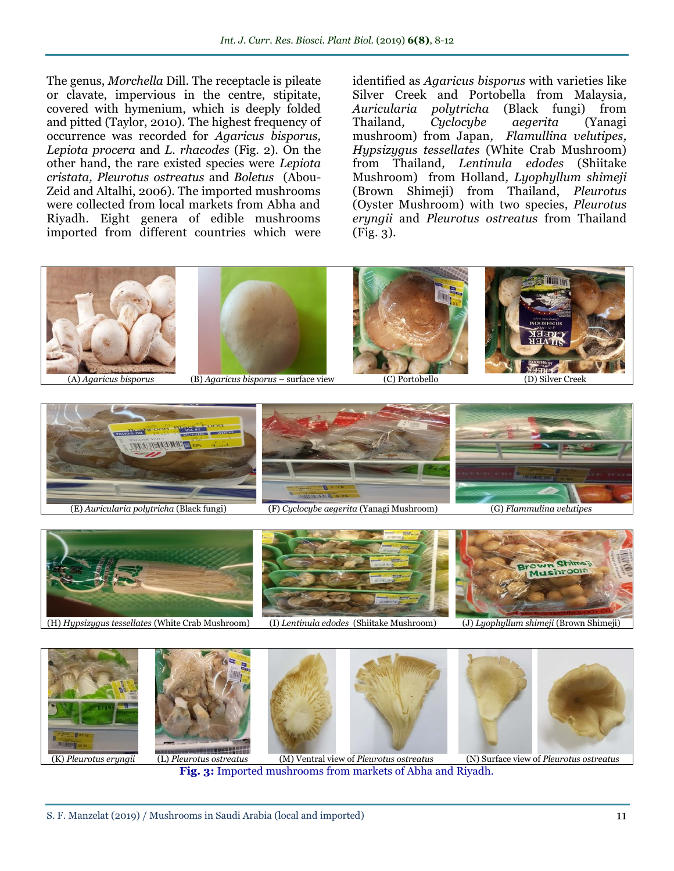The genus, *Morchella* Dill. The receptacle is pileate or clavate, impervious in the centre, stipitate, covered with hymenium, which is deeply folded and pitted (Taylor, 2010). The highest frequency of occurrence was recorded for *Agaricus bisporus, Lepiota procera* and *L. rhacodes* (Fig. 2). On the other hand, the rare existed species were *Lepiota cristata, Pleurotus ostreatus* and *Boletus* (Abou-Zeid and [Altalhi,](https://www.researchgate.net/scientific-contributions/28335712_Altalhi_AE?_sg=9sHG0v0fZrNs3GCrQnEpyh3I8pQBR1zLtRzRfOygIq_lhvvW03D6HFxw6qCojEjAaGE6whs.gTVaG4fkpGzSx7aqTRCo5ouQC5xdgwiBwuPGBAorFQqL6KdAK8XCBW_GudBCQNd4UiYI-cvRT-ceKOCAK7ITaQ) 2006). The imported mushrooms were collected from local markets from Abha and Riyadh. Eight genera of edible mushrooms imported from different countries which were

identified as *Agaricus bisporus* with varieties like Silver Creek and Portobella from Malaysia*, Auricularia polytricha* (Black fungi) from Thailand*, Cyclocybe aegerita* (Yanagi mushroom) from Japan*, Flamullina velutipes, Hypsizygus tessellates* (White Crab Mushroom) from Thailand*, Lentinula edodes* (Shiitake Mushroom) from Holland*, Lyophyllum shimeji* (Brown Shimeji) from Thailand, *Pleurotus* (Oyster Mushroom) with two species, *Pleurotus eryngii* and *Pleurotus ostreatus* from Thailand (Fig. 3)*.*





(K) *Pleurotus eryngii* (L) *Pleurotus ostreatus* (M) Ventral view of *Pleurotus ostreatus* (N) Surface view of *Pleurotus ostreatus*





**Fig. 3:** Imported mushrooms from markets of Abha and Riyadh.